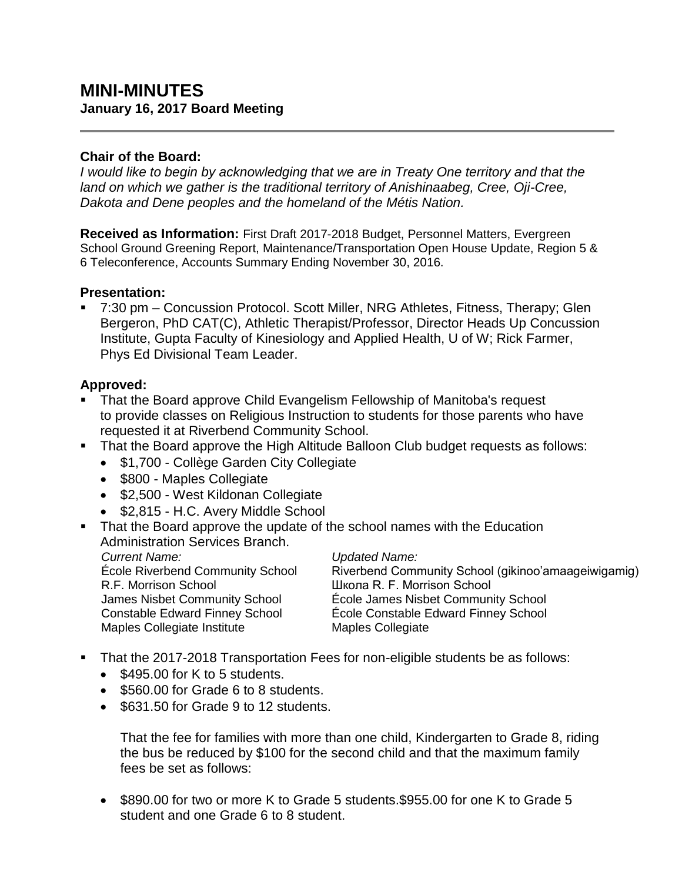# **MINI-MINUTES January 16, 2017 Board Meeting**

### **Chair of the Board:**

*I would like to begin by acknowledging that we are in Treaty One territory and that the land on which we gather is the traditional territory of Anishinaabeg, Cree, Oji-Cree, Dakota and Dene peoples and the homeland of the Métis Nation.*

**Received as Information:** First Draft 2017-2018 Budget, Personnel Matters, Evergreen School Ground Greening Report, Maintenance/Transportation Open House Update, Region 5 & 6 Teleconference, Accounts Summary Ending November 30, 2016.

### **Presentation:**

 7:30 pm – Concussion Protocol. Scott Miller, NRG Athletes, Fitness, Therapy; Glen Bergeron, PhD CAT(C), Athletic Therapist/Professor, Director Heads Up Concussion Institute, Gupta Faculty of Kinesiology and Applied Health, U of W; Rick Farmer, Phys Ed Divisional Team Leader.

# **Approved:**

- **That the Board approve Child Evangelism Fellowship of Manitoba's request** to provide classes on Religious Instruction to students for those parents who have requested it at Riverbend Community School.
- **That the Board approve the High Altitude Balloon Club budget requests as follows:** 
	- \$1,700 Collège Garden City Collegiate
	- \$800 Maples Collegiate
	- \$2,500 West Kildonan Collegiate
	- \$2,815 H.C. Avery Middle School
- That the Board approve the update of the school names with the Education Administration Services Branch.

*Current Name: Updated Name:* École Riverbend Community School R.F. Morrison School James Nisbet Community School Constable Edward Finney School Maples Collegiate Institute

Riverbend Community School (gikinoo'amaageiwigamig) Школа R. F. Morrison School École James Nisbet Community School École Constable Edward Finney School Maples Collegiate

- That the 2017-2018 Transportation Fees for non-eligible students be as follows:
	- $\bullet$  \$495.00 for K to 5 students.
	- \$560.00 for Grade 6 to 8 students.
	- \$631.50 for Grade 9 to 12 students.

That the fee for families with more than one child, Kindergarten to Grade 8, riding the bus be reduced by \$100 for the second child and that the maximum family fees be set as follows:

• \$890.00 for two or more K to Grade 5 students.\$955.00 for one K to Grade 5 student and one Grade 6 to 8 student.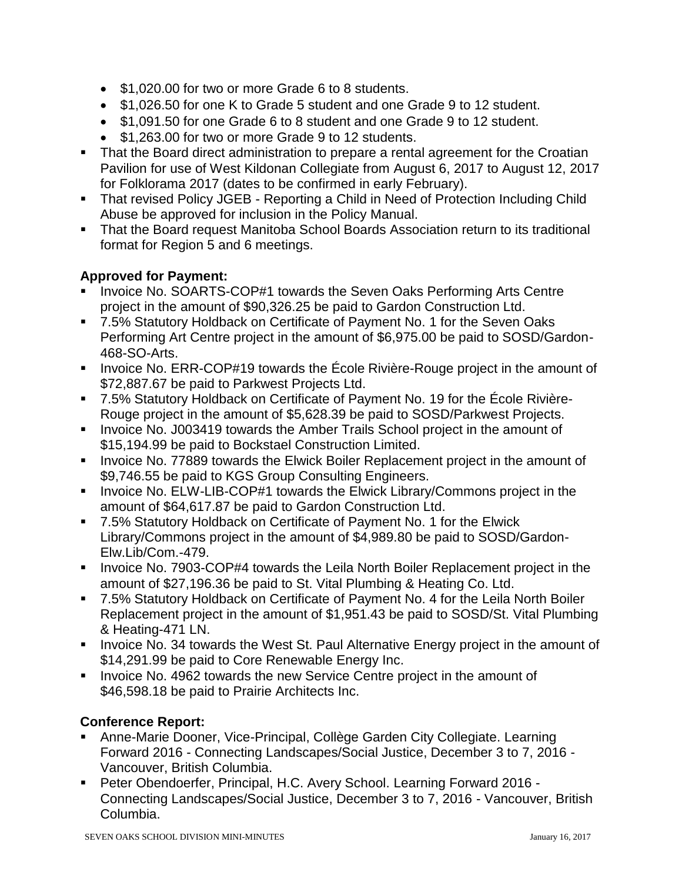- \$1,020.00 for two or more Grade 6 to 8 students.
- \$1,026.50 for one K to Grade 5 student and one Grade 9 to 12 student.
- \$1,091.50 for one Grade 6 to 8 student and one Grade 9 to 12 student.
- \$1,263.00 for two or more Grade 9 to 12 students.
- That the Board direct administration to prepare a rental agreement for the Croatian Pavilion for use of West Kildonan Collegiate from August 6, 2017 to August 12, 2017 for Folklorama 2017 (dates to be confirmed in early February).
- That revised Policy JGEB Reporting a Child in Need of Protection Including Child Abuse be approved for inclusion in the Policy Manual.
- That the Board request Manitoba School Boards Association return to its traditional format for Region 5 and 6 meetings.

### **Approved for Payment:**

- Invoice No. SOARTS-COP#1 towards the Seven Oaks Performing Arts Centre project in the amount of \$90,326.25 be paid to Gardon Construction Ltd.
- 7.5% Statutory Holdback on Certificate of Payment No. 1 for the Seven Oaks Performing Art Centre project in the amount of \$6,975.00 be paid to SOSD/Gardon-468-SO-Arts.
- Invoice No. ERR-COP#19 towards the École Rivière-Rouge project in the amount of \$72,887.67 be paid to Parkwest Projects Ltd.
- 7.5% Statutory Holdback on Certificate of Payment No. 19 for the École Rivière-Rouge project in the amount of \$5,628.39 be paid to SOSD/Parkwest Projects.
- Invoice No. J003419 towards the Amber Trails School project in the amount of \$15,194.99 be paid to Bockstael Construction Limited.
- **Invoice No. 77889 towards the Elwick Boiler Replacement project in the amount of** \$9,746.55 be paid to KGS Group Consulting Engineers.
- **Invoice No. ELW-LIB-COP#1 towards the Elwick Library/Commons project in the** amount of \$64,617.87 be paid to Gardon Construction Ltd.
- 7.5% Statutory Holdback on Certificate of Payment No. 1 for the Elwick Library/Commons project in the amount of \$4,989.80 be paid to SOSD/Gardon-Elw.Lib/Com.-479.
- Invoice No. 7903-COP#4 towards the Leila North Boiler Replacement project in the amount of \$27,196.36 be paid to St. Vital Plumbing & Heating Co. Ltd.
- 7.5% Statutory Holdback on Certificate of Payment No. 4 for the Leila North Boiler Replacement project in the amount of \$1,951.43 be paid to SOSD/St. Vital Plumbing & Heating-471 LN.
- **Invoice No. 34 towards the West St. Paul Alternative Energy project in the amount of** \$14,291.99 be paid to Core Renewable Energy Inc.
- **Invoice No. 4962 towards the new Service Centre project in the amount of** \$46,598.18 be paid to Prairie Architects Inc.

# **Conference Report:**

- Anne-Marie Dooner, Vice-Principal, Collège Garden City Collegiate. Learning Forward 2016 - Connecting Landscapes/Social Justice, December 3 to 7, 2016 - Vancouver, British Columbia.
- Peter Obendoerfer, Principal, H.C. Avery School. Learning Forward 2016 Connecting Landscapes/Social Justice, December 3 to 7, 2016 - Vancouver, British Columbia.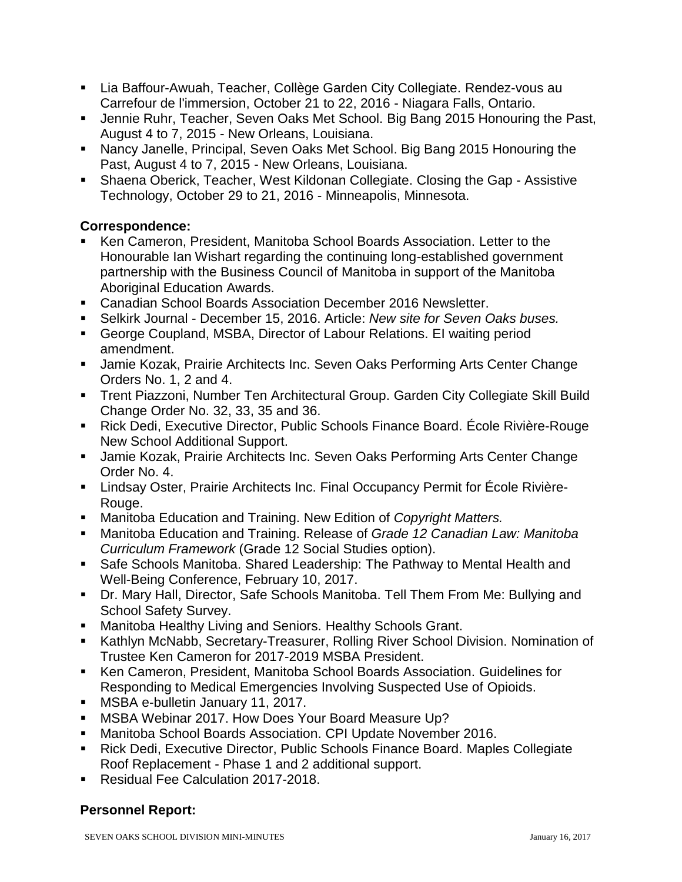- Lia Baffour-Awuah, Teacher, Collège Garden City Collegiate. Rendez-vous au Carrefour de l'immersion, October 21 to 22, 2016 - Niagara Falls, Ontario.
- Jennie Ruhr, Teacher, Seven Oaks Met School. Big Bang 2015 Honouring the Past, August 4 to 7, 2015 - New Orleans, Louisiana.
- Nancy Janelle, Principal, Seven Oaks Met School. Big Bang 2015 Honouring the Past, August 4 to 7, 2015 - New Orleans, Louisiana.
- Shaena Oberick, Teacher, West Kildonan Collegiate. Closing the Gap Assistive Technology, October 29 to 21, 2016 - Minneapolis, Minnesota.

# **Correspondence:**

- Ken Cameron, President, Manitoba School Boards Association. Letter to the Honourable Ian Wishart regarding the continuing long-established government partnership with the Business Council of Manitoba in support of the Manitoba Aboriginal Education Awards.
- Canadian School Boards Association December 2016 Newsletter.
- Selkirk Journal December 15, 2016. Article: *New site for Seven Oaks buses.*
- George Coupland, MSBA, Director of Labour Relations. EI waiting period amendment.
- **Jamie Kozak, Prairie Architects Inc. Seven Oaks Performing Arts Center Change** Orders No. 1, 2 and 4.
- Trent Piazzoni, Number Ten Architectural Group. Garden City Collegiate Skill Build Change Order No. 32, 33, 35 and 36.
- Rick Dedi, Executive Director, Public Schools Finance Board. École Rivière-Rouge New School Additional Support.
- **Jamie Kozak, Prairie Architects Inc. Seven Oaks Performing Arts Center Change** Order No. 4.
- Lindsay Oster, Prairie Architects Inc. Final Occupancy Permit for École Rivière-Rouge.
- Manitoba Education and Training. New Edition of *Copyright Matters.*
- Manitoba Education and Training. Release of *Grade 12 Canadian Law: Manitoba Curriculum Framework* (Grade 12 Social Studies option).
- Safe Schools Manitoba. Shared Leadership: The Pathway to Mental Health and Well-Being Conference, February 10, 2017.
- Dr. Mary Hall, Director, Safe Schools Manitoba. Tell Them From Me: Bullying and School Safety Survey.
- **Manitoba Healthy Living and Seniors. Healthy Schools Grant.**
- **Kathlyn McNabb, Secretary-Treasurer, Rolling River School Division. Nomination of** Trustee Ken Cameron for 2017-2019 MSBA President.
- Ken Cameron, President, Manitoba School Boards Association. Guidelines for Responding to Medical Emergencies Involving Suspected Use of Opioids.
- **MSBA e-bulletin January 11, 2017.**
- **MSBA Webinar 2017. How Does Your Board Measure Up?**
- Manitoba School Boards Association. CPI Update November 2016.
- Rick Dedi, Executive Director, Public Schools Finance Board. Maples Collegiate Roof Replacement - Phase 1 and 2 additional support.
- Residual Fee Calculation 2017-2018.

# **Personnel Report:**